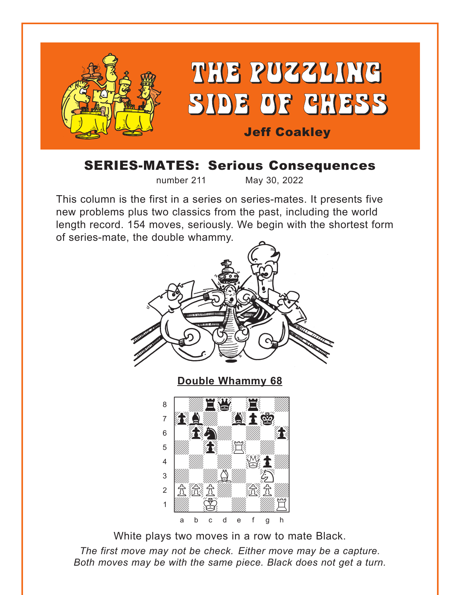<span id="page-0-0"></span>

# SERIES-MATES: Serious Consequences

number 211 May 30, 2022

This column is the first in a series on series-mates. It presents five new problems plus two classics from the past, including the world length record. 154 moves, seriously. We begin with the shortest form of series-mate, the double whammy.



White plays two moves in a row to mate Black.

*The first move may not be check. Either move may be a capture. Both moves may be with the same piece. Black does not get a turn.*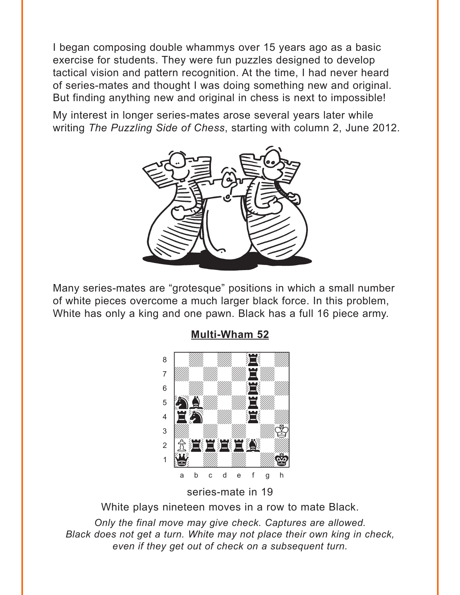<span id="page-1-0"></span>I began composing double whammys over 15 years ago as a basic exercise for students. They were fun puzzles designed to develop tactical vision and pattern recognition. At the time, I had never heard of series-mates and thought I was doing something new and original. But finding anything new and original in chess is next to impossible!

My interest in longer series-mates arose several years later while writing The Puzzling Side of Chess, starting with column 2, June 2012.



Many series-mates are "grotesque" positions in which a small number of white pieces overcome a much larger black force. In this problem, White has only a king and one pawn. Black has a full 16 piece army.



# **Multi-Wham 52**

series-mate in 19

White plays nineteen moves in a row to mate Black.

Only the final move may give check. Captures are allowed. Black does not get a turn. White may not place their own king in check. even if they get out of check on a subsequent turn.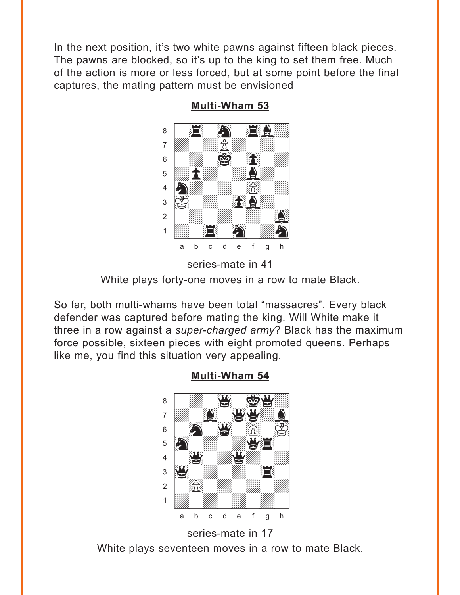<span id="page-2-0"></span>In the next position, it's two white pawns against fifteen black pieces. The pawns are blocked, so it's up to the king to set them free. Much of the action is more or less forced, but at some point before the final captures, the mating pattern must be envisioned



**Multi-Wham 53** 

So far, both multi-whams have been total "massacres". Every black defender was captured before mating the king. Will White make it three in a row against a super-charged army? Black has the maximum force possible, sixteen pieces with eight promoted queens. Perhaps like me, you find this situation very appealing.



**Multi-Wham 54** 

White plays seventeen moves in a row to mate Black.

series-mate in 17

series-mate in 41 White plays forty-one moves in a row to mate Black.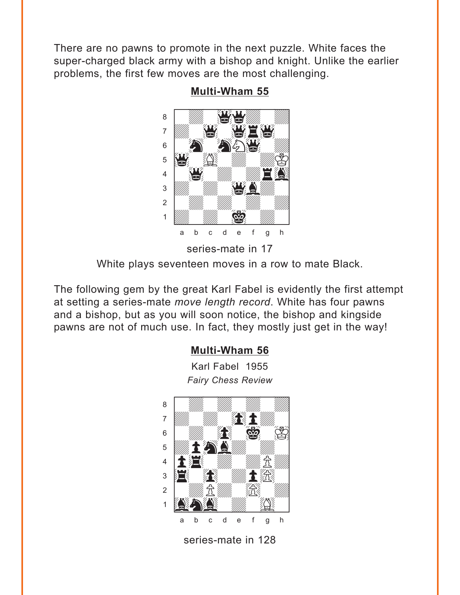<span id="page-3-0"></span>There are no pawns to promote in the next puzzle. White faces the super-charged black army with a bishop and knight. Unlike the earlier problems, the first few moves are the most challenging.



**Multi-Wham 55** 

White plays seventeen moves in a row to mate Black.

The following gem by the great Karl Fabel is evidently the first attempt at setting a series-mate move length record. White has four pawns and a bishop, but as you will soon notice, the bishop and kingside pawns are not of much use. In fact, they mostly just get in the way!

# **Multi-Wham 56**

Karl Fabel 1955 **Fairy Chess Review** 

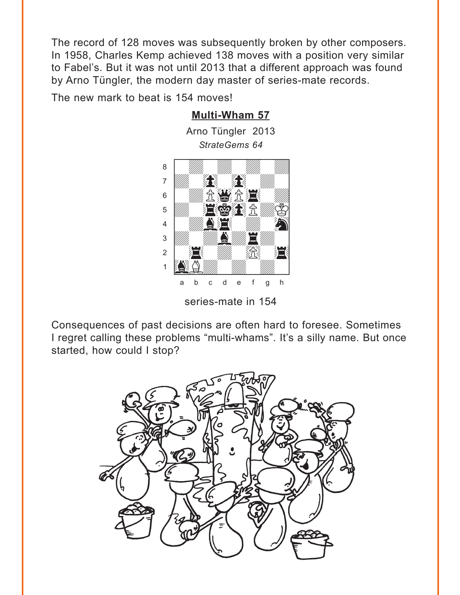<span id="page-4-0"></span>The record of 128 moves was subsequently broken by other composers. In 1958, Charles Kemp achieved 138 moves with a position very similar to Fabel's. But it was not until 2013 that a different approach was found by Arno Tüngler, the modern day master of series-mate records.

The new mark to beat is 154 moves!

# *StrateGems 64*  $\frac{Sntate.}{Sntate.}$ e *a willing willing willing willing willing willing willing*  $\overline{\mathbf{a}}$  and  $\overline{\mathbf{a}}$  and  $\overline{\mathbf{a}}$  and  $\overline{\mathbf{a}}$  $\frac{1}{2}$   $\frac{1}{2}$   $\frac{1}{2}$   $\frac{1}{2}$   $\frac{1}{2}$   $\frac{1}{2}$   $\frac{1}{2}$   $\frac{1}{2}$  $\mathbf{E}[\mathbf{E}[\mathbf{E}]\mathbf{H}[\mathbf{E}]]$  $\frac{4}{\sqrt{2}}$  which  $\frac{1}{\sqrt{2}}$  $\frac{1}{2}$  $\frac{1}{2}$   $\frac{1}{2}$   $\frac{1}{2}$ the Company of the Company of the Company of the Company of the Company of the Company of the Company of the Co a b c d e f g h

series-mate in 154

Consequences of past decisions are often hard to foresee. Sometimes I regret calling these problems "multi-whams". It's a silly name. But once started, how could I stop?



**[Multi-Wham 57](#page-16-0)**

Arno Tüngler 2013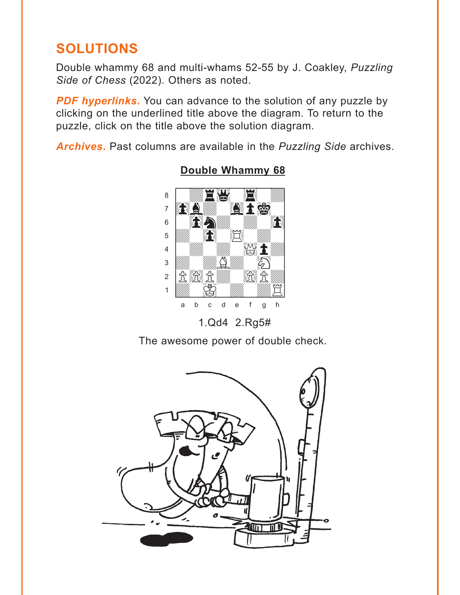# <span id="page-5-0"></span>**SOLUTIONS**

Double whammy 68 and multi-whams 52-55 by J. Coakley, Puzzling Side of Chess (2022). Others as noted.

**PDF hyperlinks.** You can advance to the solution of any puzzle by clicking on the underlined title above the diagram. To return to the puzzle, click on the title above the solution diagram.

Archives. Past columns are available in the Puzzling Side archives.



**Double Whammy 68** 

1.Qd4 2.Rg5#

The awesome power of double check.

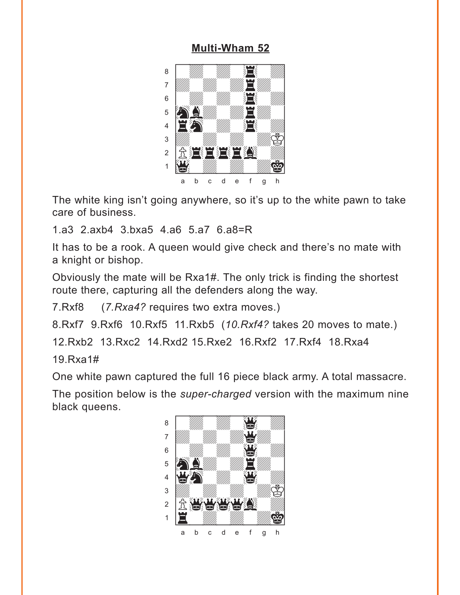<span id="page-6-0"></span>

The white king isn't going anywhere, so it's up to the white pawn to take care of business.

1.a3 2.axb4 3.bxa5 4.a6 5.a7 6.a8=R

It has to be a rook. A queen would give check and there's no mate with a knight or bishop.

Obviously the mate will be Rxa1#. The only trick is finding the shortest route there, capturing all the defenders along the way.

7.Rxf8 (*7.Rxa4?* requires two extra moves.)

8.Rxf7 9.Rxf6 10.Rxf5 11.Rxb5 (*10.Rxf4?* takes 20 moves to mate.)

12.Rxb2 13.Rxc2 14.Rxd2 15.Rxe2 16.Rxf2 17.Rxf4 18.Rxa4

19.Rxa1#

One white pawn captured the full 16 piece black army. A total massacre.

The position below is the *super-charged* version with the maximum nine black queens. where  $\frac{1}{2}$  is the set of the set of the set of the set of the set of the set of the set of the set of the set of the set of the set of the set of the set of the set of the set of the set of the set of the set of the

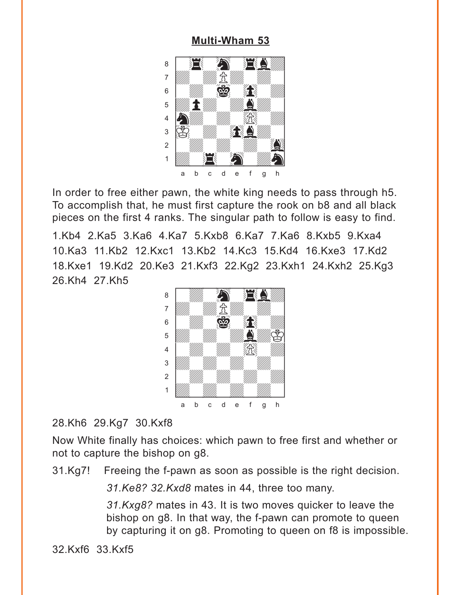<span id="page-7-0"></span>

In order to free either pawn, the white king needs to pass through h5. To accomplish that, he must first capture the rook on b8 and all black pieces on the first 4 ranks. The singular path to follow is easy to find.

1.Kb4 2.Ka5 3.Ka6 4.Ka7 5.Kxb8 6.Ka7 7.Ka6 8.Kxb5 9.Kxa4 10.Ka3 11.Kb2 12.Kxc1 13.Kb2 14.Kc3 15.Kd4 16.Kxe3 17.Kd2 18.Kxe1 19.Kd2 20.Ke3 21.Kxf3 22.Kg2 23.Kxh1 24.Kxh2 25.Kg3 26.Kh4 27.Kh5 with the set of the set of the set of the set of the set of the set of the set of the set of the set of the set of the set of the set of the set of the set of the set of the set of the set of the set of the set of the set



# 28.Kh6 29.Kg7 30.Kxf8

Now White finally has choices: which pawn to free first and whether or not to capture the bishop on g8.

31.Kg7! Freeing the f-pawn as soon as possible is the right decision.

*31.Ke8? 32.Kxd8* mates in 44, three too many.

*31.Kxg8?* mates in 43. It is two moves quicker to leave the bishop on g8. In that way, the f-pawn can promote to queen by capturing it on g8. Promoting to queen on f8 is impossible.

32.Kxf6 33.Kxf5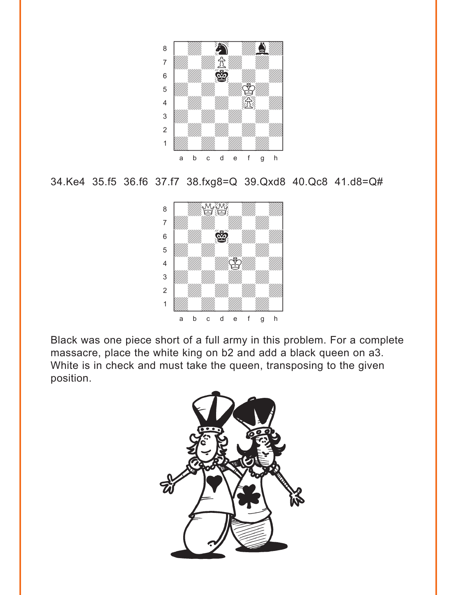

```
34.Ke4 35.f5 36.f6 37.f7 38.fxg8=Q 39.Qxd8 40.Qc8 41.d8=Q#
```


Black was one piece short of a full army in this problem. For a complete massacre, place the white king on b2 and add a black queen on a3. White is in check and must take the queen, transposing to the given position.

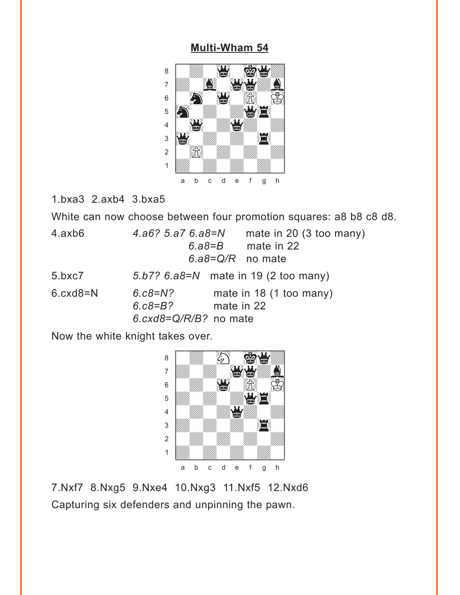<span id="page-9-0"></span>

1.bxa3 2.axb4 3.bxa5

White can now choose between four promotion squares: a8 b8 c8 d8.

| 4.axb6     | $4. a6? 5.a7 6.a8 = N$<br>mate in 20 (3 too many)<br>mate in 22<br>6.a8= $B$<br>$6. a8 = Q/R$ no mate |
|------------|-------------------------------------------------------------------------------------------------------|
| 5.bxc7     | 5.b7? $6. a8=N$ mate in 19 (2 too many)                                                               |
| $6 cxd8=N$ | mate in 18 (1 too many)<br>$6.68 = N?$<br>$6. c8 = B?$<br>mate in 22<br>6. $cxd8 = Q/R/B$ ? no mate   |

Now the white knight takes over.



7.Nxf7 8.Nxg5 9.Nxe4 10.Nxg3 11.Nxf5 12.Nxd6 Capturing six defenders and unpinning the pawn.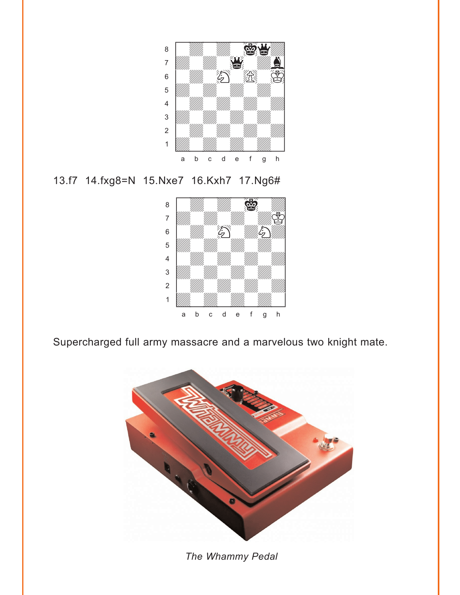

### 13.f7 14.fxg8=N 15.Nxe7 16.Kxh7 17.Ng6#



Supercharged full army massacre and a marvelous two knight mate.



*The Whammy Pedal*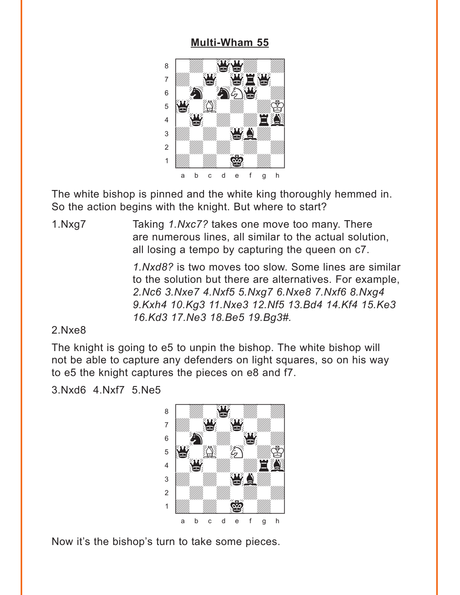<span id="page-11-0"></span>

The white bishop is pinned and the white king thoroughly hemmed in. So the action begins with the knight. But where to start?

1.Nxg7 Taking *1.Nxc7?* takes one move too many. There are numerous lines, all similar to the actual solution, all losing a tempo by capturing the queen on c7.

> *1.Nxd8?* is two moves too slow. Some lines are similar to the solution but there are alternatives. For example, *2.Nc6 3.Nxe7 4.Nxf5 5.Nxg7 6.Nxe8 7.Nxf6 8.Nxg4 9.Kxh4 10.Kg3 11.Nxe3 12.Nf5 13.Bd4 14.Kf4 15.Ke3 16.Kd3 17.Ne3 18.Be5 19.Bg3#.*

### 2.Nxe8

The knight is going to e5 to unpin the bishop. The white bishop will not be able to capture any defenders on light squares, so on his way to e5 the knight captures the pieces on e8 and f7.

3.Nxd6 4.Nxf7 5.Ne5



Now it's the bishop's turn to take some pieces.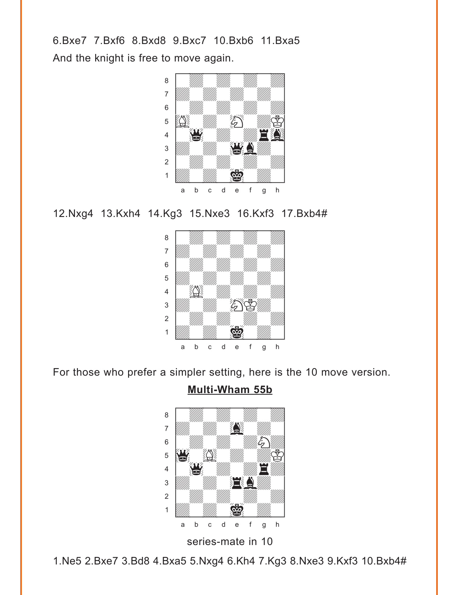6.Bxe7 7.Bxf6 8.Bxd8 9.Bxc7 10.Bxb6 11.Bxa5 And the knight is free to move again.



12.Nxg4 13.Kxh4 14.Kg3 15.Nxe3 16.Kxf3 17.Bxb4#



For those who prefer a simpler setting, here is the 10 move version.

# **[Multi-Wham 55b](#page-3-0)**



1.Ne5 2.Bxe7 3.Bd8 4.Bxa5 5.Nxg4 6.Kh4 7.Kg3 8.Nxe3 9.Kxf3 10.Bxb4#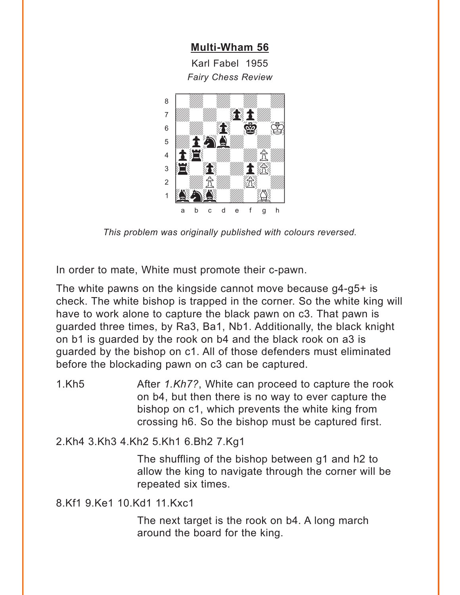Karl Fabel 1955 **Fairy Chess Review** 

<span id="page-13-0"></span>

This problem was originally published with colours reversed.

In order to mate, White must promote their c-pawn.

The white pawns on the kingside cannot move because g4-g5+ is check. The white bishop is trapped in the corner. So the white king will have to work alone to capture the black pawn on c3. That pawn is quarded three times, by Ra3, Ba1, Nb1. Additionally, the black knight on b1 is quarded by the rook on b4 and the black rook on a3 is guarded by the bishop on c1. All of those defenders must eliminated before the blockading pawn on c3 can be captured.

 $1.$ Kh $5$ After 1.Kh7?, White can proceed to capture the rook on b4, but then there is no way to ever capture the bishop on c1, which prevents the white king from crossing h6. So the bishop must be captured first.

2.Kh4 3.Kh3 4.Kh2 5.Kh1 6.Bh2 7.Kg1

The shuffling of the bishop between g1 and h2 to allow the king to navigate through the corner will be repeated six times.

8.Kf1 9.Ke1 10.Kd1 11.Kxc1

The next target is the rook on b4. A long march around the board for the king.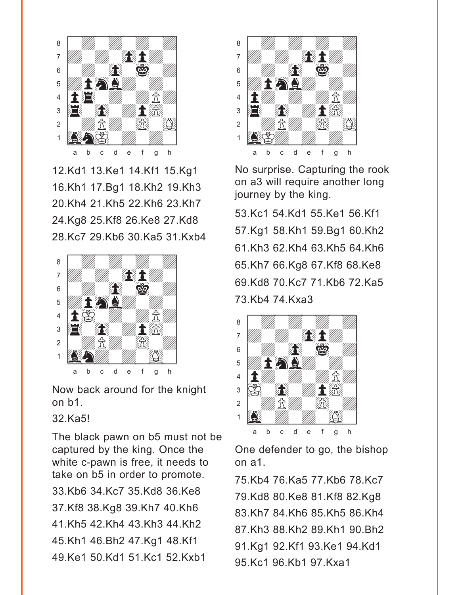

12.Kd1 13.Ke1 14.Kf1 15.Kg1 16.Kh1 17.Bg1 18.Kh2 19.Kh3 20.Kh4 21.Kh5 22.Kh6 23.Kh7 24.Kg8 25.Kf8 26.Ke8 27.Kd8 28.Kc7 29.Kb6 30.Ka5 31.Kxb4



Now back around for the knight on b1.

32.Ka5!

The black pawn on b5 must not be captured by the king. Once the white c-pawn is free, it needs to take on b5 in order to promote. 33.Kb6 34.Kc7 35.Kd8 36.Ke8 37.Kf8 38.Kg8 39.Kh7 40.Kh6 41.Kh5 42.Kh4 43.Kh3 44.Kh2 45.Kh1 46.Bh2 47.Kg1 48.Kf1 49.Ke1 50.Kd1 51.Kc1 52.Kxb1



No surprise. Capturing the rook on a3 will require another long journey by the king.

53.Kc1 54.Kd1 55.Ke1 56.Kf1 57.Kg1 58.Kh1 59.Bg1 60.Kh2 61.Kh3 62.Kh4 63.Kh5 64.Kh6 65.Kh7 66.Kg8 67.Kf8 68.Ke8 69.Kd8 70.Kc7 71.Kb6 72.Ka5 73.Kb4 74.Kxa3



One defender to go, the bishop on a1.

75.Kb4 76.Ka5 77.Kb6 78.Kc7 79.Kd8 80.Ke8 81.Kf8 82.Kg8 83.Kh7 84.Kh6 85.Kh5 86.Kh4 87.Kh3 88.Kh2 89.Kh1 90.Bh2 91.Kg1 92.Kf1 93.Ke1 94.Kd1 95.Kc1 96.Kb1 97.Kxa1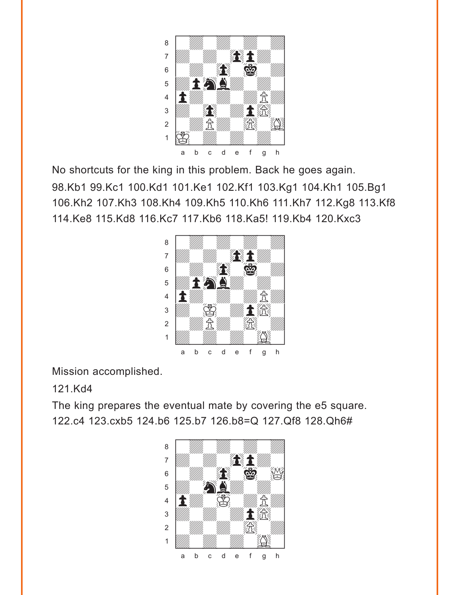

No shortcuts for the king in this problem. Back he goes again. 98.Kb1 99.Kc1 100.Kd1 101.Ke1 102.Kf1 103.Kg1 104.Kh1 105.Bg1 106.Kh2 107.Kh3 108.Kh4 109.Kh5 110.Kh6 111.Kh7 112.Kg8 113.Kf8 114.Ke8 115.Kd8 116.Kc7 117.Kb6 118.Ka5! 119.Kb4 120.Kxc3



Mission accomplished.

# 121.Kd4

The king prepares the eventual mate by covering the e5 square. 122.c4 123.cxb5 124.b6 125.b7 126.b8=Q 127.Qf8 128.Qh6#

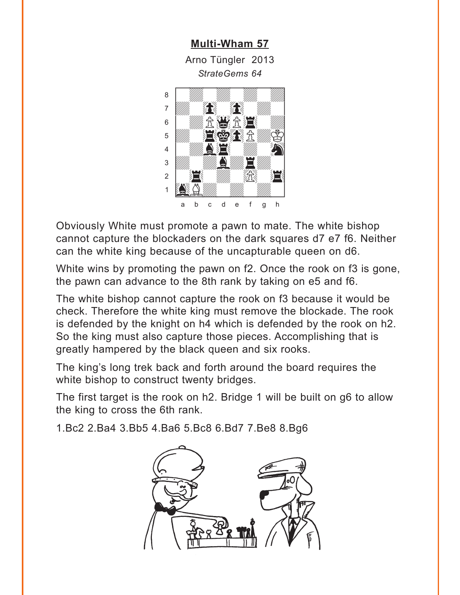**Multi-Wham 57** Arno Tüngler 2013 StrateGems 64

<span id="page-16-0"></span>

Obviously White must promote a pawn to mate. The white bishop cannot capture the blockaders on the dark squares d7 e7 f6. Neither can the white king because of the uncapturable queen on d6.

White wins by promoting the pawn on f2. Once the rook on f3 is gone, the pawn can advance to the 8th rank by taking on e5 and f6.

The white bishop cannot capture the rook on f3 because it would be check. Therefore the white king must remove the blockade. The rook is defended by the knight on h4 which is defended by the rook on h2. So the king must also capture those pieces. Accomplishing that is greatly hampered by the black queen and six rooks.

The king's long trek back and forth around the board requires the white bishop to construct twenty bridges.

The first target is the rook on h2. Bridge 1 will be built on g6 to allow the king to cross the 6th rank.

1.Bc2 2.Ba4 3.Bb5 4.Ba6 5.Bc8 6.Bd7 7.Be8 8.Bg6

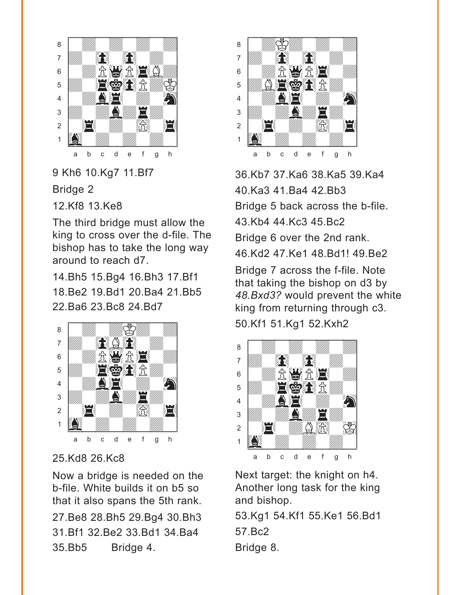

9 Kh6 10.Kg7 11.Bf7

Bridge 2

12.Kf8 13.Ke8

The third bridge must allow the king to cross over the d-file. The bishop has to take the long way around to reach d7.

14.Bh5 15.Bg4 16.Bh3 17.Bf1 18.Be2 19.Bd1 20.Ba4 21.Bb5 22.Ba6 23.Bc8 24.Bd7



25.Kd8 26.Kc8

Now a bridge is needed on the b-file. White builds it on b5 so that it also spans the 5th rank. 27.Be8 28.Bh5 29.Bg4 30.Bh3 31.Bf1 32.Be2 33.Bd1 34.Ba4 35.Bb5 Bridge 4.



36.Kb7 37.Ka6 38.Ka5 39.Ka4 40.Ka3 41.Ba4 42.Bb3 Bridge 5 back across the b-file. 43.Kb4 44.Kc3 45.Bc2 Bridge 6 over the 2nd rank. 46.Kd2 47.Ke1 48.Bd1! 49.Be2

Bridge 7 across the f-file. Note that taking the bishop on d3 by *48.Bxd3?* would prevent the white king from returning through c3. 50.Kf1 51.Kg1 52.Kxh2



Next target: the knight on h4. Another long task for the king and bishop.

53.Kg1 54.Kf1 55.Ke1 56.Bd1 57.Bc2 Bridge 8.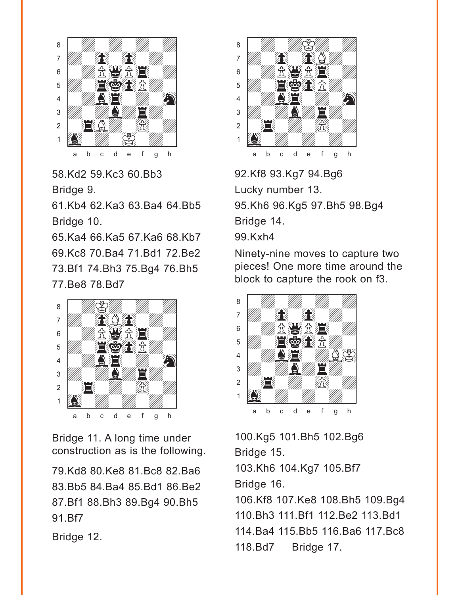

58.Kd2 59.Kc3 60.Bb3 Bridge 9.

61.Kb4 62.Ka3 63.Ba4 64.Bb5 Bridge 10.

65.Ka4 66.Ka5 67.Ka6 68.Kb7 69.Kc8 70.Ba4 71.Bd1 72.Be2 73.Bf1 74.Bh3 75.Bg4 76.Bh5 77.Be8 78.Bd7



Bridge 11. A long time under construction as is the following.

79.Kd8 80.Ke8 81.Bc8 82.Ba6 83.Bb5 84.Ba4 85.Bd1 86.Be2 87.Bf1 88.Bh3 89.Bg4 90.Bh5 91.Bf7

Bridge 12.



92.Kf8 93.Kg7 94.Bg6 Lucky number 13. 95.Kh6 96.Kg5 97.Bh5 98.Bg4 Bridge 14. 99.Kxh4

Ninety-nine moves to capture two pieces! One more time around the block to capture the rook on f3.



100.Kg5 101.Bh5 102.Bg6 Bridge 15.

103.Kh6 104.Kg7 105.Bf7 Bridge 16.

106.Kf8 107.Ke8 108.Bh5 109.Bg4 110.Bh3 111.Bf1 112.Be2 113.Bd1 114.Ba4 115.Bb5 116.Ba6 117.Bc8 118.Bd7 Bridge 17.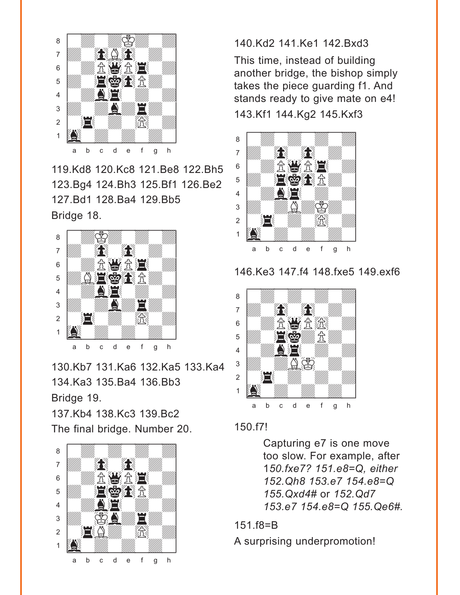

119.Kd8 120.Kc8 121.Be8 122.Bh5 123.Bg4 124.Bh3 125.Bf1 126.Be2 127.Bd1 128.Ba4 129.Bb5 Bridge 18.



130.Kb7 131.Ka6 132.Ka5 133.Ka4 134.Ka3 135.Ba4 136.Bb3 Bridge 19. 137.Kb4 138.Kc3 139.Bc2

The final bridge. Number 20.



#### 140.Kd2 141.Ke1 142.Bxd3

This time, instead of building another bridge, the bishop simply takes the piece guarding f1. And stands ready to give mate on e4!

143.Kf1 144.Kg2 145.Kxf3



146.Ke3 147.f4 148.fxe5 149.exf6



#### 150.f7!

Capturing e7 is one move too slow. For example, after 1*50.fxe7? 151.e8=Q, either 152.Qh8 153.e7 154.e8=Q 155.Qxd4#* or *152.Qd7 153.e7 154.e8=Q 155.Qe6#.*

#### 151.f8=B

A surprising underpromotion!